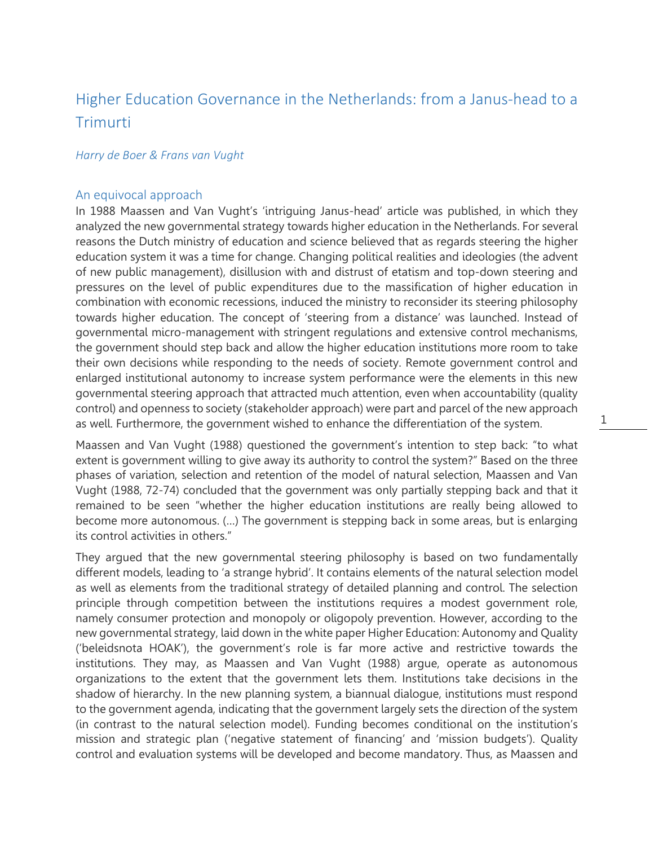# Higher Education Governance in the Netherlands: from a Janus-head to a Trimurti

### *Harry de Boer & Frans van Vught*

### An equivocal approach

In 1988 Maassen and Van Vught's 'intriguing Janus-head' article was published, in which they analyzed the new governmental strategy towards higher education in the Netherlands. For several reasons the Dutch ministry of education and science believed that as regards steering the higher education system it was a time for change. Changing political realities and ideologies (the advent of new public management), disillusion with and distrust of etatism and top-down steering and pressures on the level of public expenditures due to the massification of higher education in combination with economic recessions, induced the ministry to reconsider its steering philosophy towards higher education. The concept of 'steering from a distance' was launched. Instead of governmental micro-management with stringent regulations and extensive control mechanisms, the government should step back and allow the higher education institutions more room to take their own decisions while responding to the needs of society. Remote government control and enlarged institutional autonomy to increase system performance were the elements in this new governmental steering approach that attracted much attention, even when accountability (quality control) and openness to society (stakeholder approach) were part and parcel of the new approach as well. Furthermore, the government wished to enhance the differentiation of the system.

Maassen and Van Vught (1988) questioned the government's intention to step back: "to what extent is government willing to give away its authority to control the system?" Based on the three phases of variation, selection and retention of the model of natural selection, Maassen and Van Vught (1988, 72-74) concluded that the government was only partially stepping back and that it remained to be seen "whether the higher education institutions are really being allowed to become more autonomous. (…) The government is stepping back in some areas, but is enlarging its control activities in others."

1

They argued that the new governmental steering philosophy is based on two fundamentally different models, leading to 'a strange hybrid'. It contains elements of the natural selection model as well as elements from the traditional strategy of detailed planning and control. The selection principle through competition between the institutions requires a modest government role, namely consumer protection and monopoly or oligopoly prevention. However, according to the new governmental strategy, laid down in the white paper Higher Education: Autonomy and Quality ('beleidsnota HOAK'), the government's role is far more active and restrictive towards the institutions. They may, as Maassen and Van Vught (1988) argue, operate as autonomous organizations to the extent that the government lets them. Institutions take decisions in the shadow of hierarchy. In the new planning system, a biannual dialogue, institutions must respond to the government agenda, indicating that the government largely sets the direction of the system (in contrast to the natural selection model). Funding becomes conditional on the institution's mission and strategic plan ('negative statement of financing' and 'mission budgets'). Quality control and evaluation systems will be developed and become mandatory. Thus, as Maassen and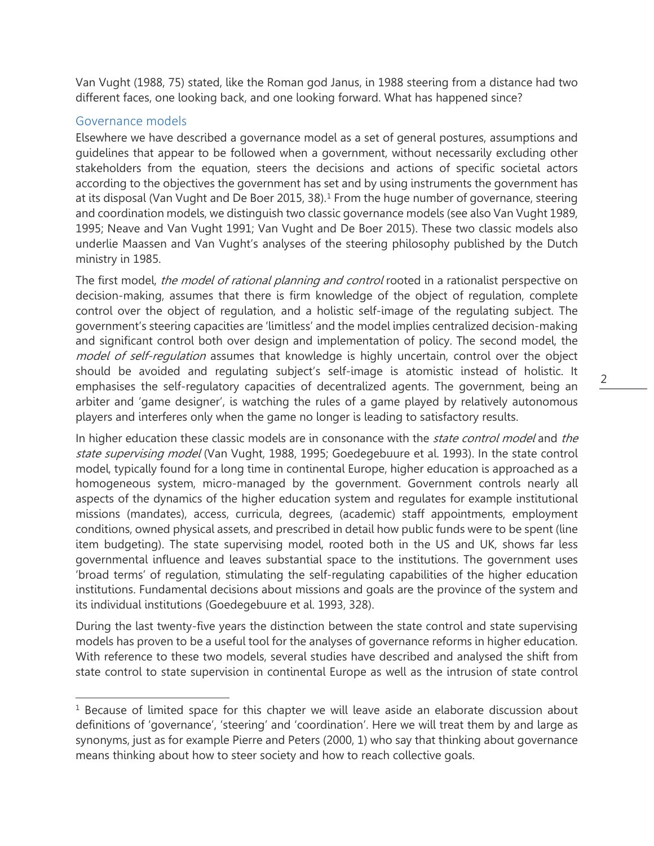Van Vught (1988, 75) stated, like the Roman god Janus, in 1988 steering from a distance had two different faces, one looking back, and one looking forward. What has happened since?

## Governance models

 $\overline{a}$ 

Elsewhere we have described a governance model as a set of general postures, assumptions and guidelines that appear to be followed when a government, without necessarily excluding other stakeholders from the equation, steers the decisions and actions of specific societal actors according to the objectives the government has set and by using instruments the government has at its disposal (Van Vught and De Boer 2015, 38). [1](#page-1-0) From the huge number of governance, steering and coordination models, we distinguish two classic governance models (see also Van Vught 1989, 1995; Neave and Van Vught 1991; Van Vught and De Boer 2015). These two classic models also underlie Maassen and Van Vught's analyses of the steering philosophy published by the Dutch ministry in 1985.

The first model, the model of rational planning and control rooted in a rationalist perspective on decision-making, assumes that there is firm knowledge of the object of regulation, complete control over the object of regulation, and a holistic self-image of the regulating subject. The government's steering capacities are 'limitless' and the model implies centralized decision-making and significant control both over design and implementation of policy. The second model, the model of self-regulation assumes that knowledge is highly uncertain, control over the object should be avoided and regulating subject's self-image is atomistic instead of holistic. It emphasises the self-regulatory capacities of decentralized agents. The government, being an arbiter and 'game designer', is watching the rules of a game played by relatively autonomous players and interferes only when the game no longer is leading to satisfactory results.

In higher education these classic models are in consonance with the *state control model* and the state supervising model (Van Vught, 1988, 1995; Goedegebuure et al. 1993). In the state control model, typically found for a long time in continental Europe, higher education is approached as a homogeneous system, micro-managed by the government. Government controls nearly all aspects of the dynamics of the higher education system and regulates for example institutional missions (mandates), access, curricula, degrees, (academic) staff appointments, employment conditions, owned physical assets, and prescribed in detail how public funds were to be spent (line item budgeting). The state supervising model, rooted both in the US and UK, shows far less governmental influence and leaves substantial space to the institutions. The government uses 'broad terms' of regulation, stimulating the self-regulating capabilities of the higher education institutions. Fundamental decisions about missions and goals are the province of the system and its individual institutions (Goedegebuure et al. 1993, 328).

During the last twenty-five years the distinction between the state control and state supervising models has proven to be a useful tool for the analyses of governance reforms in higher education. With reference to these two models, several studies have described and analysed the shift from state control to state supervision in continental Europe as well as the intrusion of state control

<span id="page-1-0"></span> $1$  Because of limited space for this chapter we will leave aside an elaborate discussion about definitions of 'governance', 'steering' and 'coordination'. Here we will treat them by and large as synonyms, just as for example Pierre and Peters (2000, 1) who say that thinking about governance means thinking about how to steer society and how to reach collective goals.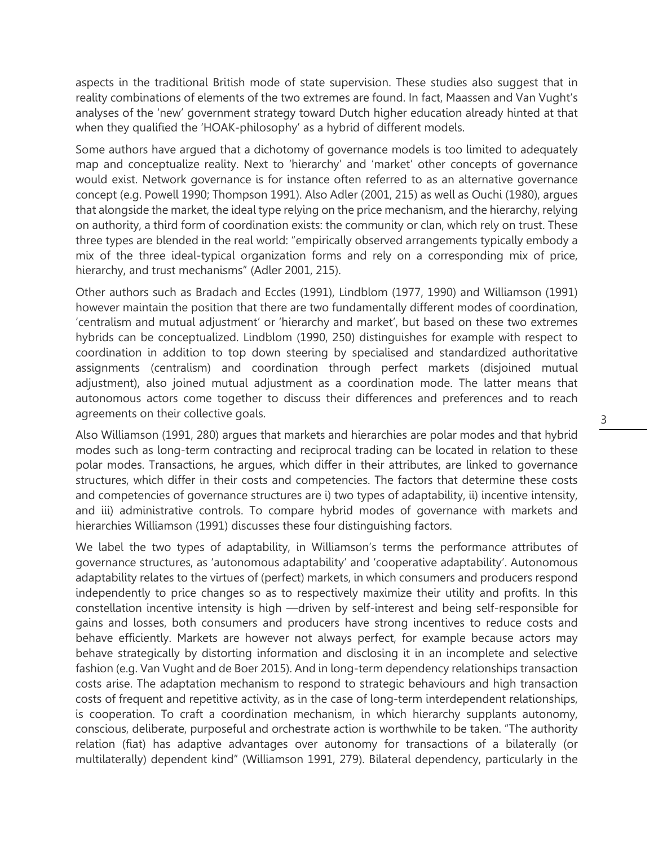aspects in the traditional British mode of state supervision. These studies also suggest that in reality combinations of elements of the two extremes are found. In fact, Maassen and Van Vught's analyses of the 'new' government strategy toward Dutch higher education already hinted at that when they qualified the 'HOAK-philosophy' as a hybrid of different models.

Some authors have argued that a dichotomy of governance models is too limited to adequately map and conceptualize reality. Next to 'hierarchy' and 'market' other concepts of governance would exist. Network governance is for instance often referred to as an alternative governance concept (e.g. Powell 1990; Thompson 1991). Also Adler (2001, 215) as well as Ouchi (1980), argues that alongside the market, the ideal type relying on the price mechanism, and the hierarchy, relying on authority, a third form of coordination exists: the community or clan, which rely on trust. These three types are blended in the real world: "empirically observed arrangements typically embody a mix of the three ideal-typical organization forms and rely on a corresponding mix of price, hierarchy, and trust mechanisms" (Adler 2001, 215).

Other authors such as Bradach and Eccles (1991), Lindblom (1977, 1990) and Williamson (1991) however maintain the position that there are two fundamentally different modes of coordination, 'centralism and mutual adjustment' or 'hierarchy and market', but based on these two extremes hybrids can be conceptualized. Lindblom (1990, 250) distinguishes for example with respect to coordination in addition to top down steering by specialised and standardized authoritative assignments (centralism) and coordination through perfect markets (disjoined mutual adjustment), also joined mutual adjustment as a coordination mode. The latter means that autonomous actors come together to discuss their differences and preferences and to reach agreements on their collective goals.

Also Williamson (1991, 280) argues that markets and hierarchies are polar modes and that hybrid modes such as long-term contracting and reciprocal trading can be located in relation to these polar modes. Transactions, he argues, which differ in their attributes, are linked to governance structures, which differ in their costs and competencies. The factors that determine these costs and competencies of governance structures are i) two types of adaptability, ii) incentive intensity, and iii) administrative controls. To compare hybrid modes of governance with markets and hierarchies Williamson (1991) discusses these four distinguishing factors.

We label the two types of adaptability, in Williamson's terms the performance attributes of governance structures, as 'autonomous adaptability' and 'cooperative adaptability'. Autonomous adaptability relates to the virtues of (perfect) markets, in which consumers and producers respond independently to price changes so as to respectively maximize their utility and profits. In this constellation incentive intensity is high —driven by self-interest and being self-responsible for gains and losses, both consumers and producers have strong incentives to reduce costs and behave efficiently. Markets are however not always perfect, for example because actors may behave strategically by distorting information and disclosing it in an incomplete and selective fashion (e.g. Van Vught and de Boer 2015). And in long-term dependency relationships transaction costs arise. The adaptation mechanism to respond to strategic behaviours and high transaction costs of frequent and repetitive activity, as in the case of long-term interdependent relationships, is cooperation. To craft a coordination mechanism, in which hierarchy supplants autonomy, conscious, deliberate, purposeful and orchestrate action is worthwhile to be taken. "The authority relation (fiat) has adaptive advantages over autonomy for transactions of a bilaterally (or multilaterally) dependent kind" (Williamson 1991, 279). Bilateral dependency, particularly in the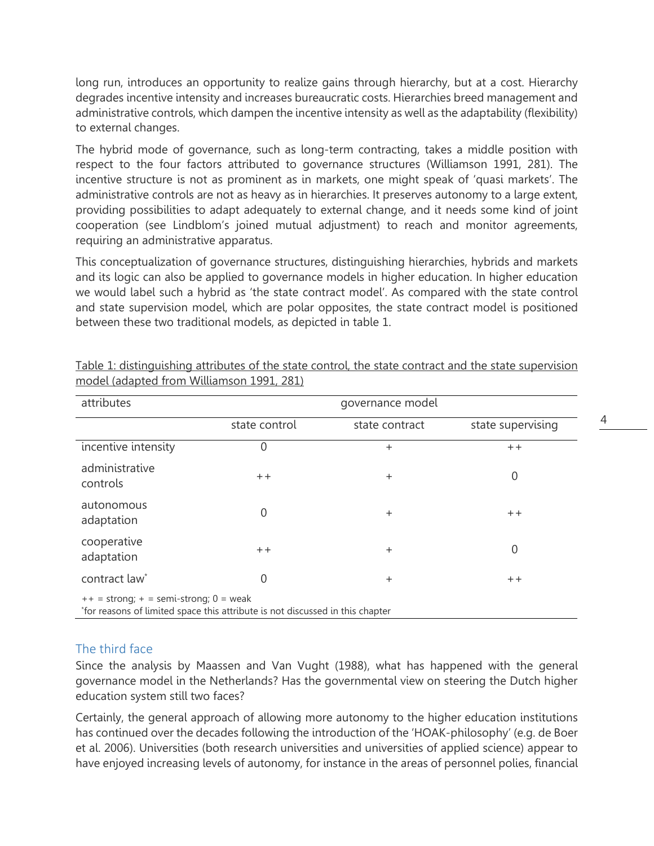long run, introduces an opportunity to realize gains through hierarchy, but at a cost. Hierarchy degrades incentive intensity and increases bureaucratic costs. Hierarchies breed management and administrative controls, which dampen the incentive intensity as well as the adaptability (flexibility) to external changes.

The hybrid mode of governance, such as long-term contracting, takes a middle position with respect to the four factors attributed to governance structures (Williamson 1991, 281). The incentive structure is not as prominent as in markets, one might speak of 'quasi markets'. The administrative controls are not as heavy as in hierarchies. It preserves autonomy to a large extent, providing possibilities to adapt adequately to external change, and it needs some kind of joint cooperation (see Lindblom's joined mutual adjustment) to reach and monitor agreements, requiring an administrative apparatus.

This conceptualization of governance structures, distinguishing hierarchies, hybrids and markets and its logic can also be applied to governance models in higher education. In higher education we would label such a hybrid as 'the state contract model'. As compared with the state control and state supervision model, which are polar opposites, the state contract model is positioned between these two traditional models, as depicted in table 1.

| attributes                                                                                         | governance model |                |                   |
|----------------------------------------------------------------------------------------------------|------------------|----------------|-------------------|
|                                                                                                    | state control    | state contract | state supervising |
| incentive intensity                                                                                | $\mathbf{0}$     | $\ddot{}$      | $+ +$             |
| administrative<br>controls                                                                         | $+ +$            | $+$            | $\Omega$          |
| autonomous<br>adaptation                                                                           | $\mathbf 0$      | $+$            | $+ +$             |
| cooperative<br>adaptation                                                                          | $+ +$            | $\ddot{}$      | $\mathbf 0$       |
| contract law*                                                                                      | $\mathbf 0$      | $\ddot{}$      | $+ +$             |
| $\epsilon$ = $\epsilon$ trong: $\epsilon$ = $\epsilon$ omi $\epsilon$ trong: $\theta$ = $\epsilon$ |                  |                |                   |

Table 1: distinguishing attributes of the state control, the state contract and the state supervision model (adapted from Williamson 1991, 281)

++ = strong; + = semi-strong; 0 = weak

\* for reasons of limited space this attribute is not discussed in this chapter

## The third face

Since the analysis by Maassen and Van Vught (1988), what has happened with the general governance model in the Netherlands? Has the governmental view on steering the Dutch higher education system still two faces?

Certainly, the general approach of allowing more autonomy to the higher education institutions has continued over the decades following the introduction of the 'HOAK-philosophy' (e.g. de Boer et al. 2006). Universities (both research universities and universities of applied science) appear to have enjoyed increasing levels of autonomy, for instance in the areas of personnel polies, financial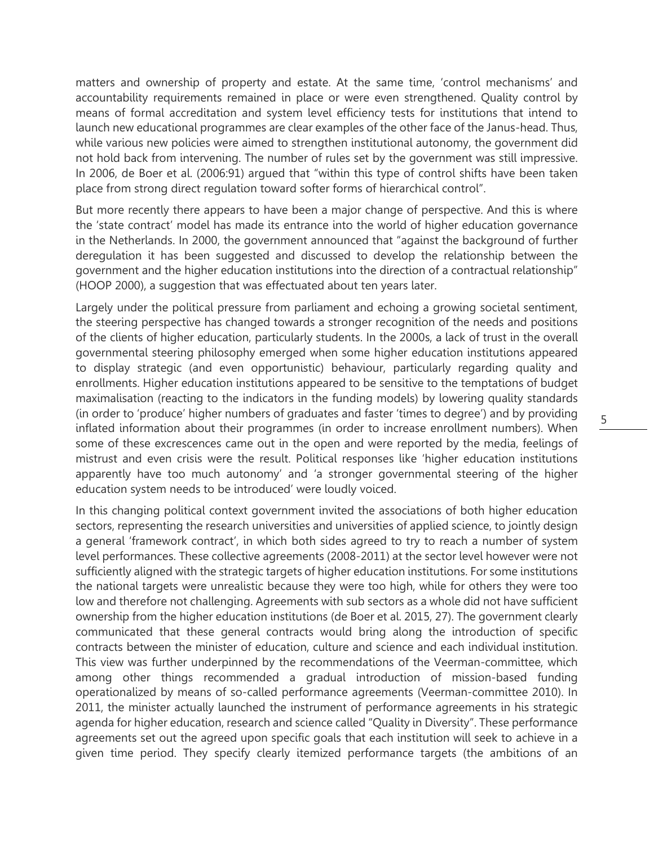matters and ownership of property and estate. At the same time, 'control mechanisms' and accountability requirements remained in place or were even strengthened. Quality control by means of formal accreditation and system level efficiency tests for institutions that intend to launch new educational programmes are clear examples of the other face of the Janus-head. Thus, while various new policies were aimed to strengthen institutional autonomy, the government did not hold back from intervening. The number of rules set by the government was still impressive. In 2006, de Boer et al. (2006:91) argued that "within this type of control shifts have been taken place from strong direct regulation toward softer forms of hierarchical control".

But more recently there appears to have been a major change of perspective. And this is where the 'state contract' model has made its entrance into the world of higher education governance in the Netherlands. In 2000, the government announced that "against the background of further deregulation it has been suggested and discussed to develop the relationship between the government and the higher education institutions into the direction of a contractual relationship" (HOOP 2000), a suggestion that was effectuated about ten years later.

Largely under the political pressure from parliament and echoing a growing societal sentiment, the steering perspective has changed towards a stronger recognition of the needs and positions of the clients of higher education, particularly students. In the 2000s, a lack of trust in the overall governmental steering philosophy emerged when some higher education institutions appeared to display strategic (and even opportunistic) behaviour, particularly regarding quality and enrollments. Higher education institutions appeared to be sensitive to the temptations of budget maximalisation (reacting to the indicators in the funding models) by lowering quality standards (in order to 'produce' higher numbers of graduates and faster 'times to degree') and by providing inflated information about their programmes (in order to increase enrollment numbers). When some of these excrescences came out in the open and were reported by the media, feelings of mistrust and even crisis were the result. Political responses like 'higher education institutions apparently have too much autonomy' and 'a stronger governmental steering of the higher education system needs to be introduced' were loudly voiced.

In this changing political context government invited the associations of both higher education sectors, representing the research universities and universities of applied science, to jointly design a general 'framework contract', in which both sides agreed to try to reach a number of system level performances. These collective agreements (2008-2011) at the sector level however were not sufficiently aligned with the strategic targets of higher education institutions. For some institutions the national targets were unrealistic because they were too high, while for others they were too low and therefore not challenging. Agreements with sub sectors as a whole did not have sufficient ownership from the higher education institutions (de Boer et al. 2015, 27). The government clearly communicated that these general contracts would bring along the introduction of specific contracts between the minister of education, culture and science and each individual institution. This view was further underpinned by the recommendations of the Veerman-committee, which among other things recommended a gradual introduction of mission-based funding operationalized by means of so-called performance agreements (Veerman-committee 2010). In 2011, the minister actually launched the instrument of performance agreements in his strategic agenda for higher education, research and science called "Quality in Diversity". These performance agreements set out the agreed upon specific goals that each institution will seek to achieve in a given time period. They specify clearly itemized performance targets (the ambitions of an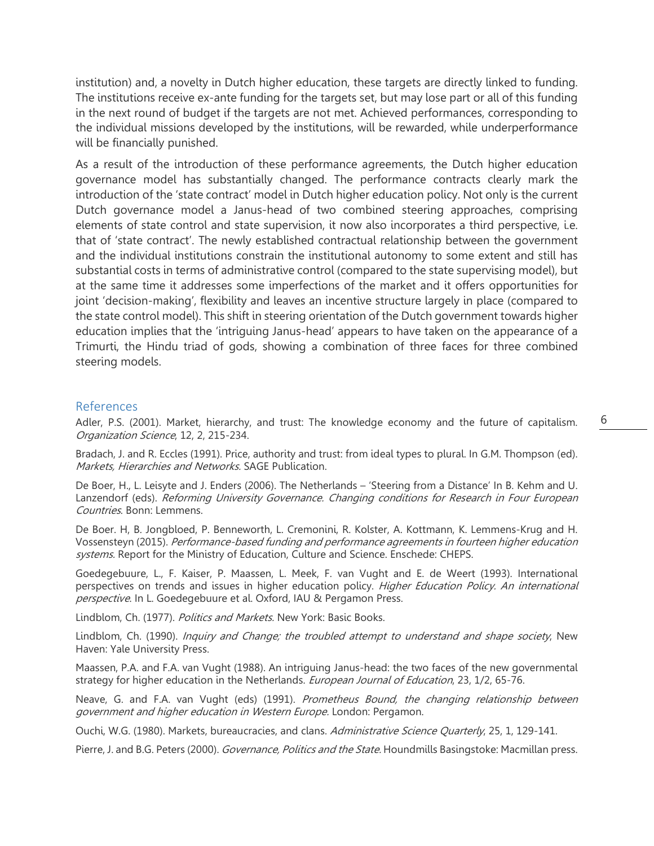institution) and, a novelty in Dutch higher education, these targets are directly linked to funding. The institutions receive ex-ante funding for the targets set, but may lose part or all of this funding in the next round of budget if the targets are not met. Achieved performances, corresponding to the individual missions developed by the institutions, will be rewarded, while underperformance will be financially punished.

As a result of the introduction of these performance agreements, the Dutch higher education governance model has substantially changed. The performance contracts clearly mark the introduction of the 'state contract' model in Dutch higher education policy. Not only is the current Dutch governance model a Janus-head of two combined steering approaches, comprising elements of state control and state supervision, it now also incorporates a third perspective, i.e. that of 'state contract'. The newly established contractual relationship between the government and the individual institutions constrain the institutional autonomy to some extent and still has substantial costs in terms of administrative control (compared to the state supervising model), but at the same time it addresses some imperfections of the market and it offers opportunities for joint 'decision-making', flexibility and leaves an incentive structure largely in place (compared to the state control model). This shift in steering orientation of the Dutch government towards higher education implies that the 'intriguing Janus-head' appears to have taken on the appearance of a Trimurti, the Hindu triad of gods, showing a combination of three faces for three combined steering models.

## References

Adler, P.S. (2001). Market, hierarchy, and trust: The knowledge economy and the future of capitalism. Organization Science, 12, 2, 215-234.

Bradach, J. and R. Eccles (1991). Price, authority and trust: from ideal types to plural. In G.M. Thompson (ed). Markets, Hierarchies and Networks. SAGE Publication.

De Boer, H., L. Leisyte and J. Enders (2006). The Netherlands – 'Steering from a Distance' In B. Kehm and U. Lanzendorf (eds). Reforming University Governance. Changing conditions for Research in Four European Countries. Bonn: Lemmens.

De Boer. H, B. Jongbloed, P. Benneworth, L. Cremonini, R. Kolster, A. Kottmann, K. Lemmens-Krug and H. Vossensteyn (2015). Performance-based funding and performance agreements in fourteen higher education systems. Report for the Ministry of Education, Culture and Science. Enschede: CHEPS.

Goedegebuure, L., F. Kaiser, P. Maassen, L. Meek, F. van Vught and E. de Weert (1993). International perspectives on trends and issues in higher education policy. Higher Education Policy. An international perspective. In L. Goedegebuure et al. Oxford, IAU & Pergamon Press.

Lindblom, Ch. (1977). Politics and Markets. New York: Basic Books.

Lindblom, Ch. (1990). *Inquiry and Change; the troubled attempt to understand and shape society*, New Haven: Yale University Press.

Maassen, P.A. and F.A. van Vught (1988). An intriguing Janus-head: the two faces of the new governmental strategy for higher education in the Netherlands. European Journal of Education, 23, 1/2, 65-76.

Neave, G. and F.A. van Vught (eds) (1991). Prometheus Bound, the changing relationship between government and higher education in Western Europe. London: Pergamon.

Ouchi, W.G. (1980). Markets, bureaucracies, and clans. Administrative Science Quarterly, 25, 1, 129-141.

Pierre, J. and B.G. Peters (2000). Governance, Politics and the State. Houndmills Basingstoke: Macmillan press.